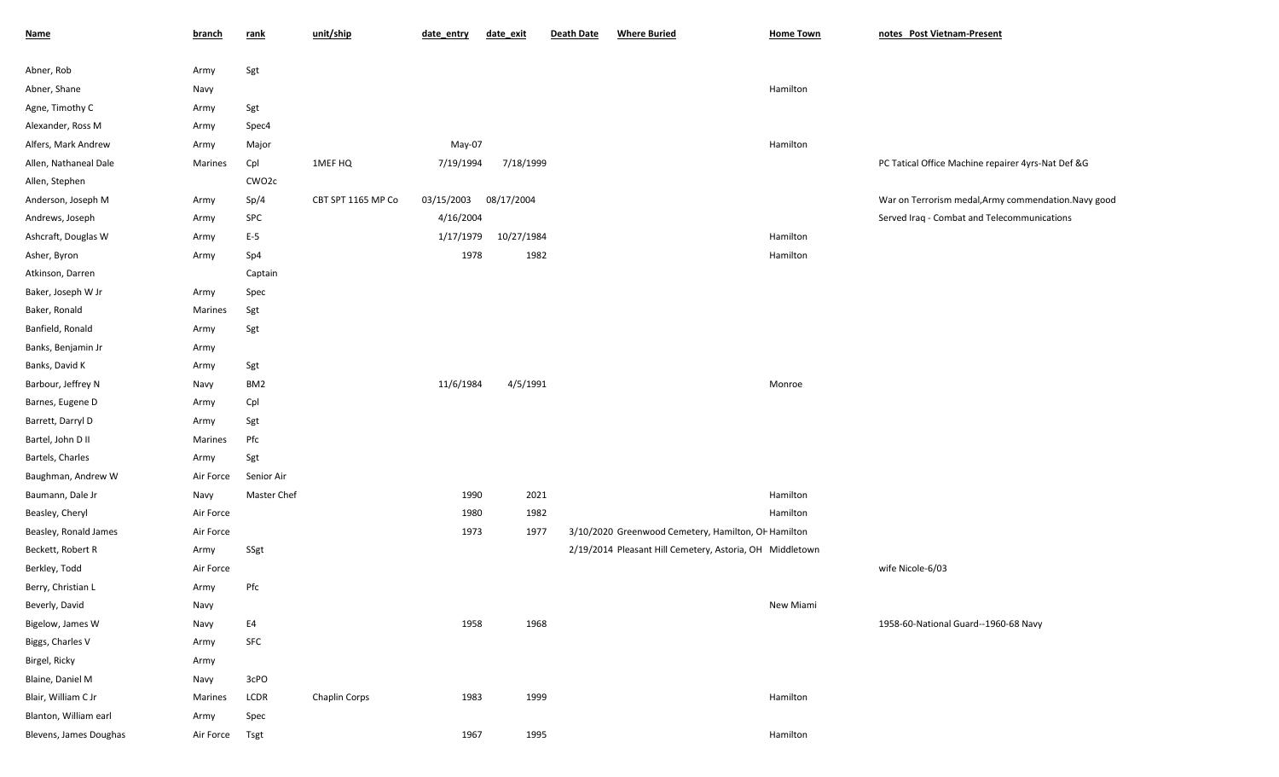| <b>Name</b>            | <b>branch</b> | rank              | unit/ship            | date_entry | date_exit  | Death Date | <b>Where Buried</b>                                      | <b>Home Town</b> | notes Post Vietnam-Present                           |
|------------------------|---------------|-------------------|----------------------|------------|------------|------------|----------------------------------------------------------|------------------|------------------------------------------------------|
| Abner, Rob             | Army          | Sgt               |                      |            |            |            |                                                          |                  |                                                      |
| Abner, Shane           | Navy          |                   |                      |            |            |            |                                                          | Hamilton         |                                                      |
| Agne, Timothy C        | Army          | Sgt               |                      |            |            |            |                                                          |                  |                                                      |
| Alexander, Ross M      | Army          | Spec4             |                      |            |            |            |                                                          |                  |                                                      |
| Alfers, Mark Andrew    | Army          | Major             |                      | May-07     |            |            |                                                          | Hamilton         |                                                      |
| Allen, Nathaneal Dale  | Marines       | Cpl               | 1MEF HQ              | 7/19/1994  | 7/18/1999  |            |                                                          |                  | PC Tatical Office Machine repairer 4yrs-Nat Def &G   |
| Allen, Stephen         |               | CWO <sub>2c</sub> |                      |            |            |            |                                                          |                  |                                                      |
| Anderson, Joseph M     | Army          | Sp/4              | CBT SPT 1165 MP Co   | 03/15/2003 | 08/17/2004 |            |                                                          |                  | War on Terrorism medal, Army commendation. Navy good |
| Andrews, Joseph        | Army          | SPC               |                      | 4/16/2004  |            |            |                                                          |                  | Served Iraq - Combat and Telecommunications          |
| Ashcraft, Douglas W    | Army          | $E-5$             |                      | 1/17/1979  | 10/27/1984 |            |                                                          | Hamilton         |                                                      |
| Asher, Byron           | Army          | Sp4               |                      | 1978       | 1982       |            |                                                          | Hamilton         |                                                      |
| Atkinson, Darren       |               | Captain           |                      |            |            |            |                                                          |                  |                                                      |
| Baker, Joseph W Jr     | Army          | Spec              |                      |            |            |            |                                                          |                  |                                                      |
| Baker, Ronald          | Marines       | Sgt               |                      |            |            |            |                                                          |                  |                                                      |
| Banfield, Ronald       | Army          | Sgt               |                      |            |            |            |                                                          |                  |                                                      |
| Banks, Benjamin Jr     | Army          |                   |                      |            |            |            |                                                          |                  |                                                      |
| Banks, David K         | Army          | Sgt               |                      |            |            |            |                                                          |                  |                                                      |
| Barbour, Jeffrey N     | Navy          | BM <sub>2</sub>   |                      | 11/6/1984  | 4/5/1991   |            |                                                          | Monroe           |                                                      |
| Barnes, Eugene D       | Army          | Cpl               |                      |            |            |            |                                                          |                  |                                                      |
| Barrett, Darryl D      | Army          | Sgt               |                      |            |            |            |                                                          |                  |                                                      |
| Bartel, John D II      | Marines       | Pfc               |                      |            |            |            |                                                          |                  |                                                      |
| Bartels, Charles       | Army          | Sgt               |                      |            |            |            |                                                          |                  |                                                      |
| Baughman, Andrew W     | Air Force     | Senior Air        |                      |            |            |            |                                                          |                  |                                                      |
| Baumann, Dale Jr       | Navy          | Master Chef       |                      | 1990       | 2021       |            |                                                          | Hamilton         |                                                      |
| Beasley, Cheryl        | Air Force     |                   |                      | 1980       | 1982       |            |                                                          | Hamilton         |                                                      |
| Beasley, Ronald James  | Air Force     |                   |                      | 1973       | 1977       |            | 3/10/2020 Greenwood Cemetery, Hamilton, OF Hamilton      |                  |                                                      |
| Beckett, Robert R      | Army          | SSgt              |                      |            |            |            | 2/19/2014 Pleasant Hill Cemetery, Astoria, OH Middletown |                  |                                                      |
| Berkley, Todd          | Air Force     |                   |                      |            |            |            |                                                          |                  | wife Nicole-6/03                                     |
| Berry, Christian L     | Army          | Pfc               |                      |            |            |            |                                                          |                  |                                                      |
| Beverly, David         | Navy          |                   |                      |            |            |            |                                                          | New Miami        |                                                      |
| Bigelow, James W       | Navy          | E4                |                      | 1958       | 1968       |            |                                                          |                  | 1958-60-National Guard--1960-68 Navy                 |
| Biggs, Charles V       | Army          | SFC               |                      |            |            |            |                                                          |                  |                                                      |
| Birgel, Ricky          | Army          |                   |                      |            |            |            |                                                          |                  |                                                      |
| Blaine, Daniel M       | Navy          | 3cPO              |                      |            |            |            |                                                          |                  |                                                      |
| Blair, William C Jr    | Marines       | LCDR              | <b>Chaplin Corps</b> | 1983       | 1999       |            |                                                          | Hamilton         |                                                      |
| Blanton, William earl  | Army          | Spec              |                      |            |            |            |                                                          |                  |                                                      |
| Blevens, James Doughas | Air Force     | Tsgt              |                      | 1967       | 1995       |            |                                                          | Hamilton         |                                                      |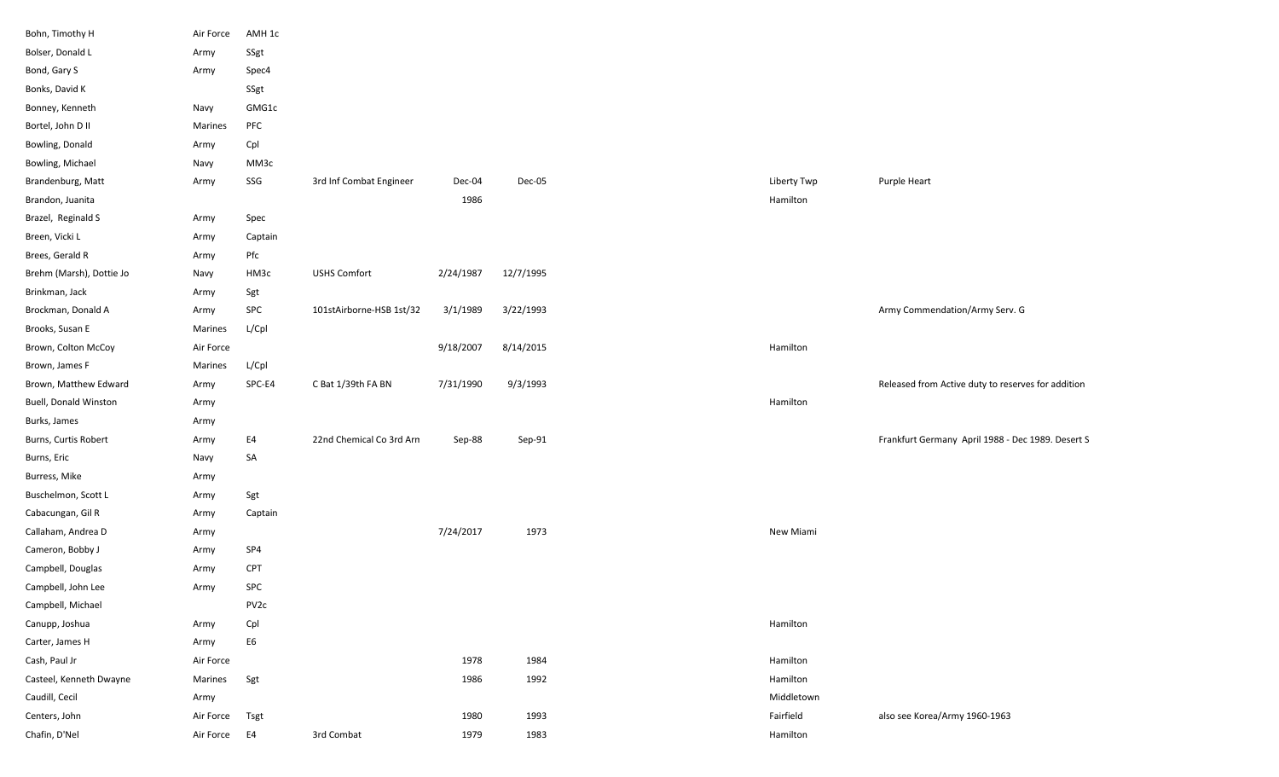| Bohn, Timothy H          | Air Force | AMH 1c           |                          |           |           |             |                                                    |
|--------------------------|-----------|------------------|--------------------------|-----------|-----------|-------------|----------------------------------------------------|
| Bolser, Donald L         | Army      | SSgt             |                          |           |           |             |                                                    |
| Bond, Gary S             | Army      | Spec4            |                          |           |           |             |                                                    |
| Bonks, David K           |           | SSgt             |                          |           |           |             |                                                    |
| Bonney, Kenneth          | Navy      | GMG1c            |                          |           |           |             |                                                    |
| Bortel, John D II        | Marines   | PFC              |                          |           |           |             |                                                    |
| Bowling, Donald          | Army      | Cpl              |                          |           |           |             |                                                    |
| Bowling, Michael         | Navy      | MM3c             |                          |           |           |             |                                                    |
| Brandenburg, Matt        | Army      | SSG              | 3rd Inf Combat Engineer  | Dec-04    | Dec-05    | Liberty Twp | Purple Heart                                       |
| Brandon, Juanita         |           |                  |                          | 1986      |           | Hamilton    |                                                    |
| Brazel, Reginald S       | Army      | Spec             |                          |           |           |             |                                                    |
| Breen, Vicki L           | Army      | Captain          |                          |           |           |             |                                                    |
| Brees, Gerald R          | Army      | Pfc              |                          |           |           |             |                                                    |
| Brehm (Marsh), Dottie Jo | Navy      | HM3c             | <b>USHS Comfort</b>      | 2/24/1987 | 12/7/1995 |             |                                                    |
| Brinkman, Jack           | Army      | Sgt              |                          |           |           |             |                                                    |
| Brockman, Donald A       | Army      | SPC              | 101stAirborne-HSB 1st/32 | 3/1/1989  | 3/22/1993 |             | Army Commendation/Army Serv. G                     |
| Brooks, Susan E          | Marines   | L/Cpl            |                          |           |           |             |                                                    |
| Brown, Colton McCoy      | Air Force |                  |                          | 9/18/2007 | 8/14/2015 | Hamilton    |                                                    |
| Brown, James F           | Marines   | L/Cpl            |                          |           |           |             |                                                    |
| Brown, Matthew Edward    | Army      | SPC-E4           | C Bat 1/39th FA BN       | 7/31/1990 | 9/3/1993  |             | Released from Active duty to reserves for addition |
| Buell, Donald Winston    | Army      |                  |                          |           |           | Hamilton    |                                                    |
| Burks, James             | Army      |                  |                          |           |           |             |                                                    |
| Burns, Curtis Robert     | Army      | E4               | 22nd Chemical Co 3rd Arn | Sep-88    | Sep-91    |             | Frankfurt Germany April 1988 - Dec 1989. Desert S  |
| Burns, Eric              | Navy      | SA               |                          |           |           |             |                                                    |
| Burress, Mike            | Army      |                  |                          |           |           |             |                                                    |
| Buschelmon, Scott L      | Army      | Sgt              |                          |           |           |             |                                                    |
| Cabacungan, Gil R        | Army      | Captain          |                          |           |           |             |                                                    |
| Callaham, Andrea D       | Army      |                  |                          | 7/24/2017 | 1973      | New Miami   |                                                    |
| Cameron, Bobby J         | Army      | SP4              |                          |           |           |             |                                                    |
| Campbell, Douglas        | Army      | <b>CPT</b>       |                          |           |           |             |                                                    |
| Campbell, John Lee       | Army      | SPC              |                          |           |           |             |                                                    |
| Campbell, Michael        |           | PV <sub>2c</sub> |                          |           |           |             |                                                    |
| Canupp, Joshua           | Army      | Cpl              |                          |           |           | Hamilton    |                                                    |
| Carter, James H          | Army      | E6               |                          |           |           |             |                                                    |
| Cash, Paul Jr            | Air Force |                  |                          | 1978      | 1984      | Hamilton    |                                                    |
| Casteel, Kenneth Dwayne  | Marines   | Sgt              |                          | 1986      | 1992      | Hamilton    |                                                    |
| Caudill, Cecil           | Army      |                  |                          |           |           | Middletown  |                                                    |
| Centers, John            | Air Force | Tsgt             |                          | 1980      | 1993      | Fairfield   | also see Korea/Army 1960-1963                      |
| Chafin, D'Nel            | Air Force | E4               | 3rd Combat               | 1979      | 1983      | Hamilton    |                                                    |
|                          |           |                  |                          |           |           |             |                                                    |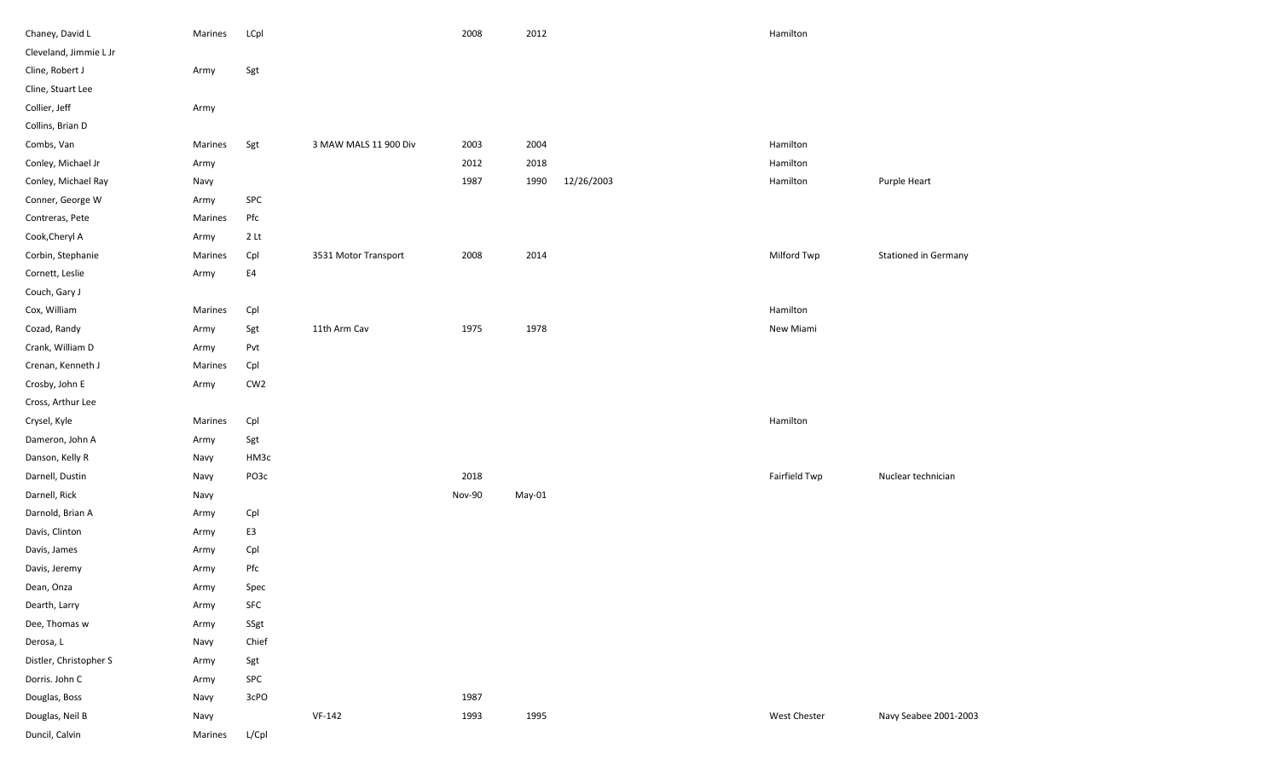| Chaney, David L        | Marines | LCpl            |                       | 2008   | 2012   |            | Hamilton      |                             |
|------------------------|---------|-----------------|-----------------------|--------|--------|------------|---------------|-----------------------------|
| Cleveland, Jimmie L Jr |         |                 |                       |        |        |            |               |                             |
| Cline, Robert J        | Army    | Sgt             |                       |        |        |            |               |                             |
| Cline, Stuart Lee      |         |                 |                       |        |        |            |               |                             |
| Collier, Jeff          | Army    |                 |                       |        |        |            |               |                             |
| Collins, Brian D       |         |                 |                       |        |        |            |               |                             |
| Combs, Van             | Marines | Sgt             | 3 MAW MALS 11 900 Div | 2003   | 2004   |            | Hamilton      |                             |
| Conley, Michael Jr     | Army    |                 |                       | 2012   | 2018   |            | Hamilton      |                             |
| Conley, Michael Ray    | Navy    |                 |                       | 1987   | 1990   | 12/26/2003 | Hamilton      | Purple Heart                |
| Conner, George W       | Army    | SPC             |                       |        |        |            |               |                             |
| Contreras, Pete        | Marines | Pfc             |                       |        |        |            |               |                             |
| Cook, Cheryl A         | Army    | 2 <sub>lt</sub> |                       |        |        |            |               |                             |
| Corbin, Stephanie      | Marines | Cpl             | 3531 Motor Transport  | 2008   | 2014   |            | Milford Twp   | <b>Stationed in Germany</b> |
| Cornett, Leslie        | Army    | ${\sf E4}$      |                       |        |        |            |               |                             |
| Couch, Gary J          |         |                 |                       |        |        |            |               |                             |
| Cox, William           | Marines | Cpl             |                       |        |        |            | Hamilton      |                             |
| Cozad, Randy           | Army    | Sgt             | 11th Arm Cav          | 1975   | 1978   |            | New Miami     |                             |
| Crank, William D       | Army    | Pvt             |                       |        |        |            |               |                             |
| Crenan, Kenneth J      | Marines | Cpl             |                       |        |        |            |               |                             |
| Crosby, John E         | Army    | CW <sub>2</sub> |                       |        |        |            |               |                             |
| Cross, Arthur Lee      |         |                 |                       |        |        |            |               |                             |
| Crysel, Kyle           | Marines | Cpl             |                       |        |        |            | Hamilton      |                             |
| Dameron, John A        | Army    | Sgt             |                       |        |        |            |               |                             |
| Danson, Kelly R        | Navy    | HM3c            |                       |        |        |            |               |                             |
| Darnell, Dustin        | Navy    | PO3c            |                       | 2018   |        |            | Fairfield Twp | Nuclear technician          |
| Darnell, Rick          | Navy    |                 |                       | Nov-90 | May-01 |            |               |                             |
| Darnold, Brian A       | Army    | Cpl             |                       |        |        |            |               |                             |
| Davis, Clinton         | Army    | E3              |                       |        |        |            |               |                             |
| Davis, James           | Army    | Cpl             |                       |        |        |            |               |                             |
| Davis, Jeremy          | Army    | Pfc             |                       |        |        |            |               |                             |
| Dean, Onza             | Army    | Spec            |                       |        |        |            |               |                             |
| Dearth, Larry          | Army    | SFC             |                       |        |        |            |               |                             |
| Dee, Thomas w          | Army    | SSgt            |                       |        |        |            |               |                             |
| Derosa, L              | Navy    | Chief           |                       |        |        |            |               |                             |
| Distler, Christopher S | Army    | Sgt             |                       |        |        |            |               |                             |
| Dorris. John C         | Army    | SPC             |                       |        |        |            |               |                             |
| Douglas, Boss          | Navy    | 3cPO            |                       | 1987   |        |            |               |                             |
| Douglas, Neil B        | Navy    |                 | $VF-142$              | 1993   | 1995   |            | West Chester  | Navy Seabee 2001-2003       |
| Duncil, Calvin         | Marines | L/Cpl           |                       |        |        |            |               |                             |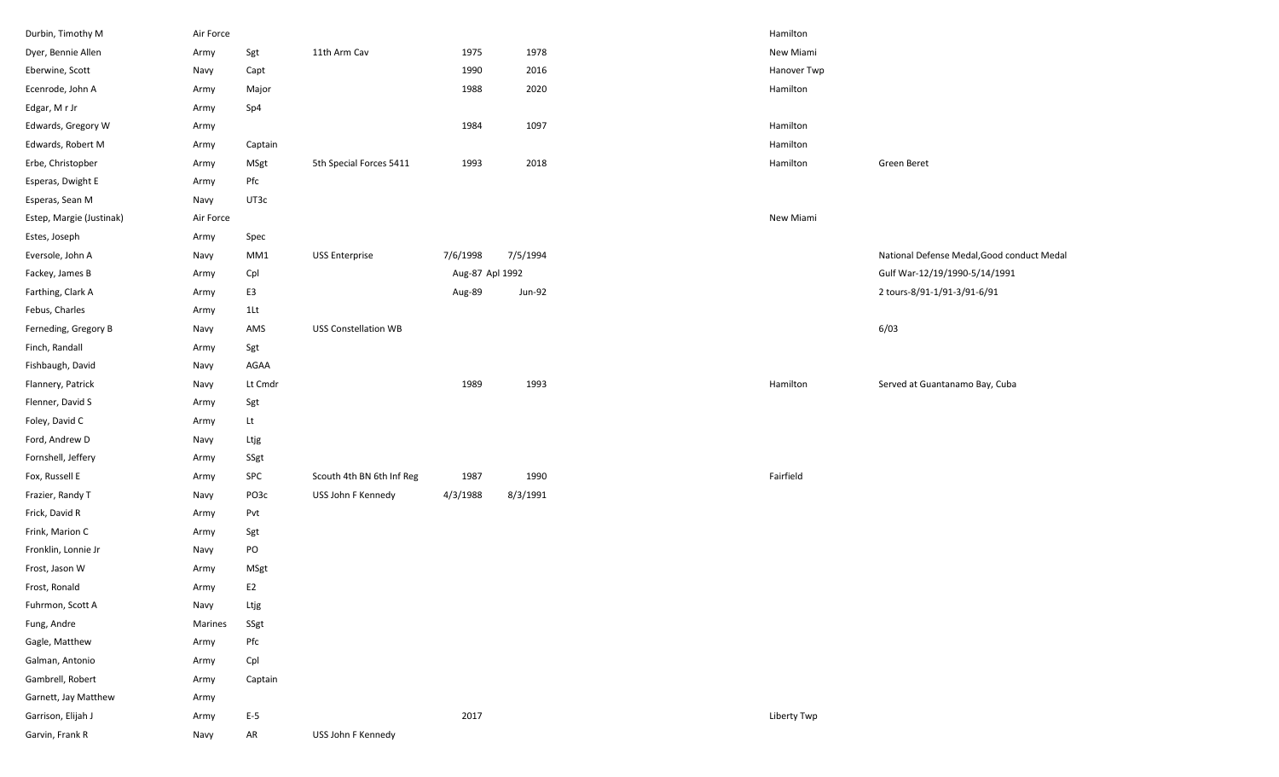| Durbin, Timothy M        | Air Force |                |                             |                 |          | Hamilton    |                                            |
|--------------------------|-----------|----------------|-----------------------------|-----------------|----------|-------------|--------------------------------------------|
| Dyer, Bennie Allen       | Army      | Sgt            | 11th Arm Cav                | 1975            | 1978     | New Miami   |                                            |
| Eberwine, Scott          | Navy      | Capt           |                             | 1990            | 2016     | Hanover Twp |                                            |
| Ecenrode, John A         | Army      | Major          |                             | 1988            | 2020     | Hamilton    |                                            |
| Edgar, MrJr              | Army      | Sp4            |                             |                 |          |             |                                            |
| Edwards, Gregory W       | Army      |                |                             | 1984            | 1097     | Hamilton    |                                            |
| Edwards, Robert M        | Army      | Captain        |                             |                 |          | Hamilton    |                                            |
| Erbe, Christopber        | Army      | MSgt           | 5th Special Forces 5411     | 1993            | 2018     | Hamilton    | Green Beret                                |
| Esperas, Dwight E        | Army      | Pfc            |                             |                 |          |             |                                            |
| Esperas, Sean M          | Navy      | UT3c           |                             |                 |          |             |                                            |
| Estep, Margie (Justinak) | Air Force |                |                             |                 |          | New Miami   |                                            |
| Estes, Joseph            | Army      | Spec           |                             |                 |          |             |                                            |
| Eversole, John A         | Navy      | MM1            | <b>USS Enterprise</b>       | 7/6/1998        | 7/5/1994 |             | National Defense Medal, Good conduct Medal |
| Fackey, James B          | Army      | Cpl            |                             | Aug-87 Apl 1992 |          |             | Gulf War-12/19/1990-5/14/1991              |
| Farthing, Clark A        | Army      | E3             |                             | Aug-89          | Jun-92   |             | 2 tours-8/91-1/91-3/91-6/91                |
| Febus, Charles           | Army      | 1Lt            |                             |                 |          |             |                                            |
| Ferneding, Gregory B     | Navy      | AMS            | <b>USS Constellation WB</b> |                 |          |             | 6/03                                       |
| Finch, Randall           | Army      | Sgt            |                             |                 |          |             |                                            |
| Fishbaugh, David         | Navy      | AGAA           |                             |                 |          |             |                                            |
| Flannery, Patrick        | Navy      | Lt Cmdr        |                             | 1989            | 1993     | Hamilton    | Served at Guantanamo Bay, Cuba             |
| Flenner, David S         | Army      | Sgt            |                             |                 |          |             |                                            |
| Foley, David C           | Army      | Lt             |                             |                 |          |             |                                            |
| Ford, Andrew D           | Navy      | Ltjg           |                             |                 |          |             |                                            |
| Fornshell, Jeffery       | Army      | SSgt           |                             |                 |          |             |                                            |
| Fox, Russell E           | Army      | SPC            | Scouth 4th BN 6th Inf Reg   | 1987            | 1990     | Fairfield   |                                            |
| Frazier, Randy T         | Navy      | PO3c           | USS John F Kennedy          | 4/3/1988        | 8/3/1991 |             |                                            |
| Frick, David R           | Army      | Pvt            |                             |                 |          |             |                                            |
| Frink, Marion C          | Army      | Sgt            |                             |                 |          |             |                                            |
| Fronklin, Lonnie Jr      | Navy      | PO             |                             |                 |          |             |                                            |
| Frost, Jason W           | Army      | MSgt           |                             |                 |          |             |                                            |
| Frost, Ronald            | Army      | E <sub>2</sub> |                             |                 |          |             |                                            |
| Fuhrmon, Scott A         | Navy      | Ltjg           |                             |                 |          |             |                                            |
| Fung, Andre              | Marines   | SSgt           |                             |                 |          |             |                                            |
| Gagle, Matthew           | Army      | $_{\rm Pfc}$   |                             |                 |          |             |                                            |
| Galman, Antonio          | Army      | Cpl            |                             |                 |          |             |                                            |
| Gambrell, Robert         | Army      | Captain        |                             |                 |          |             |                                            |
| Garnett, Jay Matthew     | Army      |                |                             |                 |          |             |                                            |
| Garrison, Elijah J       | Army      | $E-5$          |                             | 2017            |          | Liberty Twp |                                            |
| Garvin, Frank R          | Navy      | AR             | USS John F Kennedy          |                 |          |             |                                            |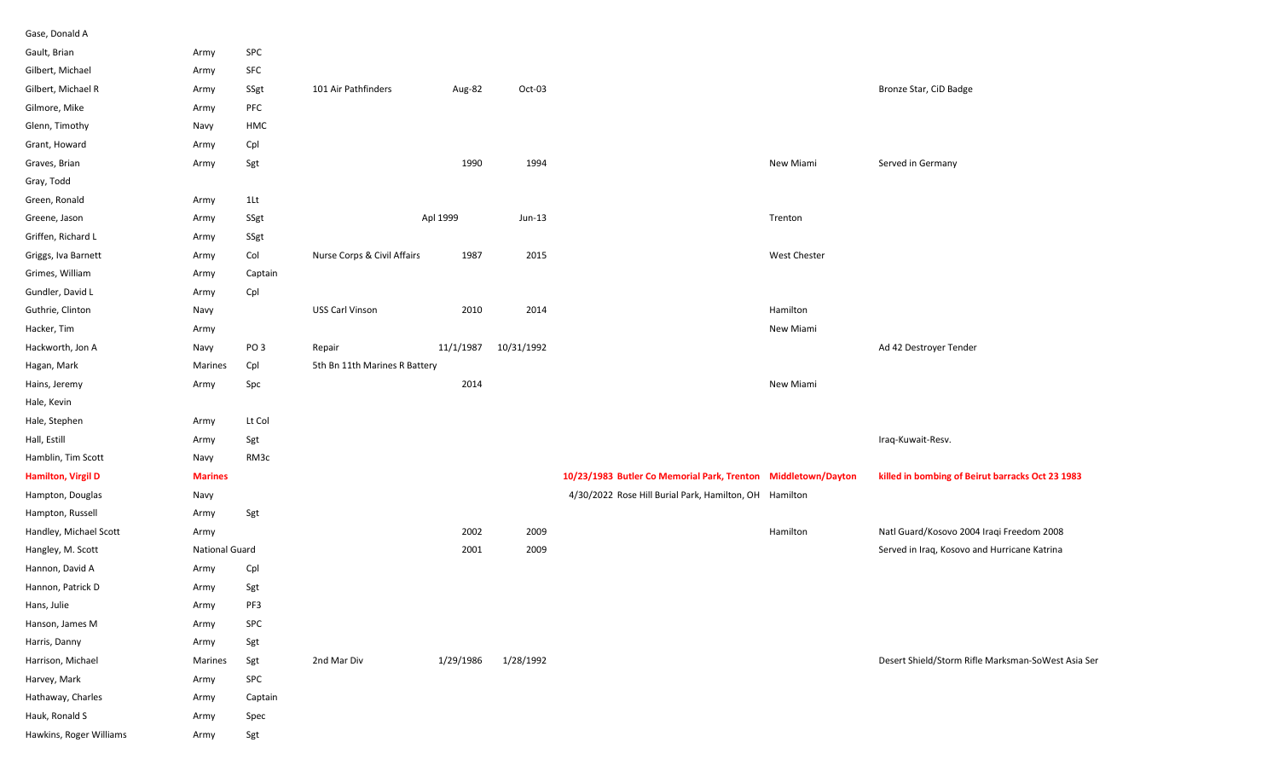| Gase, Donald A            |                       |                 |                               |           |            |                                                               |                     |                                                    |
|---------------------------|-----------------------|-----------------|-------------------------------|-----------|------------|---------------------------------------------------------------|---------------------|----------------------------------------------------|
| Gault, Brian              | Army                  | SPC             |                               |           |            |                                                               |                     |                                                    |
| Gilbert, Michael          | Army                  | SFC             |                               |           |            |                                                               |                     |                                                    |
| Gilbert, Michael R        | Army                  | SSgt            | 101 Air Pathfinders           | Aug-82    | Oct-03     |                                                               |                     | Bronze Star, CiD Badge                             |
| Gilmore, Mike             | Army                  | PFC             |                               |           |            |                                                               |                     |                                                    |
| Glenn, Timothy            | Navy                  | HMC             |                               |           |            |                                                               |                     |                                                    |
| Grant, Howard             | Army                  | Cpl             |                               |           |            |                                                               |                     |                                                    |
| Graves, Brian             | Army                  | Sgt             |                               | 1990      | 1994       |                                                               | New Miami           | Served in Germany                                  |
| Gray, Todd                |                       |                 |                               |           |            |                                                               |                     |                                                    |
| Green, Ronald             | Army                  | 1Lt             |                               |           |            |                                                               |                     |                                                    |
| Greene, Jason             | Army                  | SSgt            |                               | Apl 1999  | $Jun-13$   |                                                               | Trenton             |                                                    |
| Griffen, Richard L        | Army                  | SSgt            |                               |           |            |                                                               |                     |                                                    |
| Griggs, Iva Barnett       | Army                  | Col             | Nurse Corps & Civil Affairs   | 1987      | 2015       |                                                               | <b>West Chester</b> |                                                    |
| Grimes, William           | Army                  | Captain         |                               |           |            |                                                               |                     |                                                    |
| Gundler, David L          | Army                  | Cpl             |                               |           |            |                                                               |                     |                                                    |
| Guthrie, Clinton          | Navy                  |                 | USS Carl Vinson               | 2010      | 2014       |                                                               | Hamilton            |                                                    |
| Hacker, Tim               | Army                  |                 |                               |           |            |                                                               | New Miami           |                                                    |
| Hackworth, Jon A          | Navy                  | PO <sub>3</sub> | Repair                        | 11/1/1987 | 10/31/1992 |                                                               |                     | Ad 42 Destroyer Tender                             |
| Hagan, Mark               | Marines               | Cpl             | 5th Bn 11th Marines R Battery |           |            |                                                               |                     |                                                    |
| Hains, Jeremy             | Army                  | Spc             |                               | 2014      |            |                                                               | New Miami           |                                                    |
| Hale, Kevin               |                       |                 |                               |           |            |                                                               |                     |                                                    |
| Hale, Stephen             | Army                  | Lt Col          |                               |           |            |                                                               |                     |                                                    |
| Hall, Estill              | Army                  | Sgt             |                               |           |            |                                                               |                     | Iraq-Kuwait-Resv.                                  |
| Hamblin, Tim Scott        | Navy                  | RM3c            |                               |           |            |                                                               |                     |                                                    |
| <b>Hamilton, Virgil D</b> | <b>Marines</b>        |                 |                               |           |            | 10/23/1983 Butler Co Memorial Park, Trenton Middletown/Dayton |                     | killed in bombing of Beirut barracks Oct 23 1983   |
| Hampton, Douglas          | Navy                  |                 |                               |           |            | 4/30/2022 Rose Hill Burial Park, Hamilton, OH Hamilton        |                     |                                                    |
| Hampton, Russell          | Army                  | Sgt             |                               |           |            |                                                               |                     |                                                    |
| Handley, Michael Scott    | Army                  |                 |                               | 2002      | 2009       |                                                               | Hamilton            | Natl Guard/Kosovo 2004 Iraqi Freedom 2008          |
| Hangley, M. Scott         | <b>National Guard</b> |                 |                               | 2001      | 2009       |                                                               |                     | Served in Iraq, Kosovo and Hurricane Katrina       |
| Hannon, David A           | Army                  | Cpl             |                               |           |            |                                                               |                     |                                                    |
| Hannon, Patrick D         | Army                  | Sgt             |                               |           |            |                                                               |                     |                                                    |
| Hans, Julie               | Army                  | PF3             |                               |           |            |                                                               |                     |                                                    |
| Hanson, James M           | Army                  | SPC             |                               |           |            |                                                               |                     |                                                    |
| Harris, Danny             | Army                  | Sgt             |                               |           |            |                                                               |                     |                                                    |
| Harrison, Michael         | Marines               | Sgt             | 2nd Mar Div                   | 1/29/1986 | 1/28/1992  |                                                               |                     | Desert Shield/Storm Rifle Marksman-SoWest Asia Ser |
| Harvey, Mark              | Army                  | SPC             |                               |           |            |                                                               |                     |                                                    |
| Hathaway, Charles         | Army                  | Captain         |                               |           |            |                                                               |                     |                                                    |
| Hauk, Ronald S            | Army                  | Spec            |                               |           |            |                                                               |                     |                                                    |
| Hawkins, Roger Williams   | Army                  | Sgt             |                               |           |            |                                                               |                     |                                                    |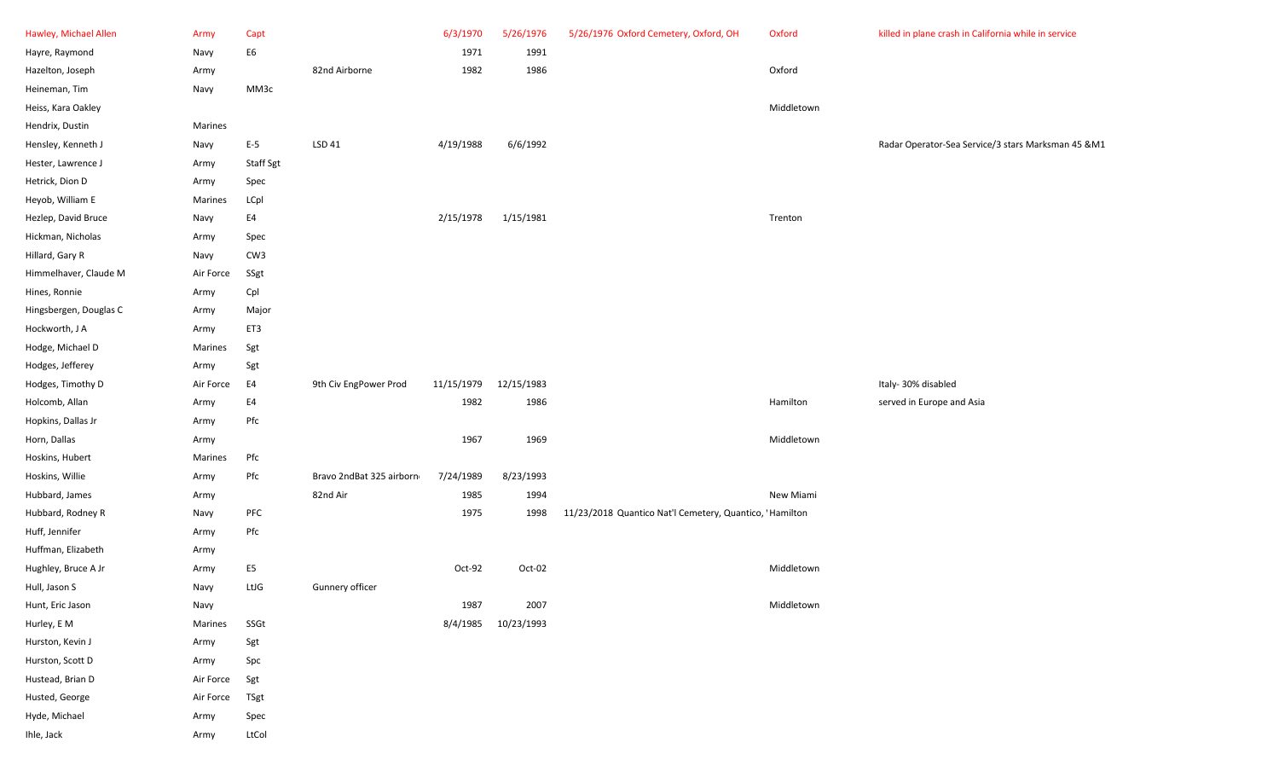| Hawley, Michael Allen  | Army      | Capt                           |                          | 6/3/1970   | 5/26/1976  | 5/26/1976 Oxford Cemetery, Oxford, OH                   | Oxford     | killed in plane crash in California while in service |
|------------------------|-----------|--------------------------------|--------------------------|------------|------------|---------------------------------------------------------|------------|------------------------------------------------------|
| Hayre, Raymond         | Navy      | E <sub>6</sub>                 |                          | 1971       | 1991       |                                                         |            |                                                      |
| Hazelton, Joseph       | Army      |                                | 82nd Airborne            | 1982       | 1986       |                                                         | Oxford     |                                                      |
| Heineman, Tim          | Navy      | MM3c                           |                          |            |            |                                                         |            |                                                      |
| Heiss, Kara Oakley     |           |                                |                          |            |            |                                                         | Middletown |                                                      |
| Hendrix, Dustin        | Marines   |                                |                          |            |            |                                                         |            |                                                      |
| Hensley, Kenneth J     | Navy      | $E-5$                          | LSD 41                   | 4/19/1988  | 6/6/1992   |                                                         |            | Radar Operator-Sea Service/3 stars Marksman 45 &M1   |
| Hester, Lawrence J     | Army      | Staff Sgt                      |                          |            |            |                                                         |            |                                                      |
| Hetrick, Dion D        | Army      | Spec                           |                          |            |            |                                                         |            |                                                      |
| Heyob, William E       | Marines   | LCpl                           |                          |            |            |                                                         |            |                                                      |
| Hezlep, David Bruce    | Navy      | E4                             |                          | 2/15/1978  | 1/15/1981  |                                                         | Trenton    |                                                      |
| Hickman, Nicholas      | Army      | Spec                           |                          |            |            |                                                         |            |                                                      |
| Hillard, Gary R        | Navy      | CW <sub>3</sub>                |                          |            |            |                                                         |            |                                                      |
| Himmelhaver, Claude M  | Air Force | SSgt                           |                          |            |            |                                                         |            |                                                      |
| Hines, Ronnie          | Army      | Cpl                            |                          |            |            |                                                         |            |                                                      |
| Hingsbergen, Douglas C | Army      | Major                          |                          |            |            |                                                         |            |                                                      |
| Hockworth, J A         | Army      | ET3                            |                          |            |            |                                                         |            |                                                      |
| Hodge, Michael D       | Marines   | Sgt                            |                          |            |            |                                                         |            |                                                      |
| Hodges, Jefferey       | Army      | Sgt                            |                          |            |            |                                                         |            |                                                      |
| Hodges, Timothy D      | Air Force | E4                             | 9th Civ EngPower Prod    | 11/15/1979 | 12/15/1983 |                                                         |            | Italy-30% disabled                                   |
| Holcomb, Allan         | Army      | E4                             |                          | 1982       | 1986       |                                                         | Hamilton   | served in Europe and Asia                            |
| Hopkins, Dallas Jr     | Army      | Pfc                            |                          |            |            |                                                         |            |                                                      |
| Horn, Dallas           | Army      |                                |                          | 1967       | 1969       |                                                         | Middletown |                                                      |
| Hoskins, Hubert        | Marines   | Pfc                            |                          |            |            |                                                         |            |                                                      |
| Hoskins, Willie        | Army      | Pfc                            | Bravo 2ndBat 325 airborn | 7/24/1989  | 8/23/1993  |                                                         |            |                                                      |
| Hubbard, James         | Army      |                                | 82nd Air                 | 1985       | 1994       |                                                         | New Miami  |                                                      |
| Hubbard, Rodney R      | Navy      | PFC                            |                          | 1975       | 1998       | 11/23/2018 Quantico Nat'l Cemetery, Quantico, 'Hamilton |            |                                                      |
| Huff, Jennifer         | Army      | Pfc                            |                          |            |            |                                                         |            |                                                      |
| Huffman, Elizabeth     | Army      |                                |                          |            |            |                                                         |            |                                                      |
| Hughley, Bruce A Jr    | Army      | E <sub>5</sub>                 |                          | Oct-92     | Oct-02     |                                                         | Middletown |                                                      |
| Hull, Jason S          | Navy      | LtJG                           | Gunnery officer          |            |            |                                                         |            |                                                      |
| Hunt, Eric Jason       | Navy      |                                |                          | 1987       | 2007       |                                                         | Middletown |                                                      |
| Hurley, E M            | Marines   | $\operatorname{\mathsf{SSGt}}$ |                          | 8/4/1985   | 10/23/1993 |                                                         |            |                                                      |
| Hurston, Kevin J       | Army      | Sgt                            |                          |            |            |                                                         |            |                                                      |
| Hurston, Scott D       | Army      | Spc                            |                          |            |            |                                                         |            |                                                      |
| Hustead, Brian D       | Air Force | Sgt                            |                          |            |            |                                                         |            |                                                      |
| Husted, George         | Air Force | TSgt                           |                          |            |            |                                                         |            |                                                      |
| Hyde, Michael          | Army      | Spec                           |                          |            |            |                                                         |            |                                                      |
| Ihle, Jack             | Army      | LtCol                          |                          |            |            |                                                         |            |                                                      |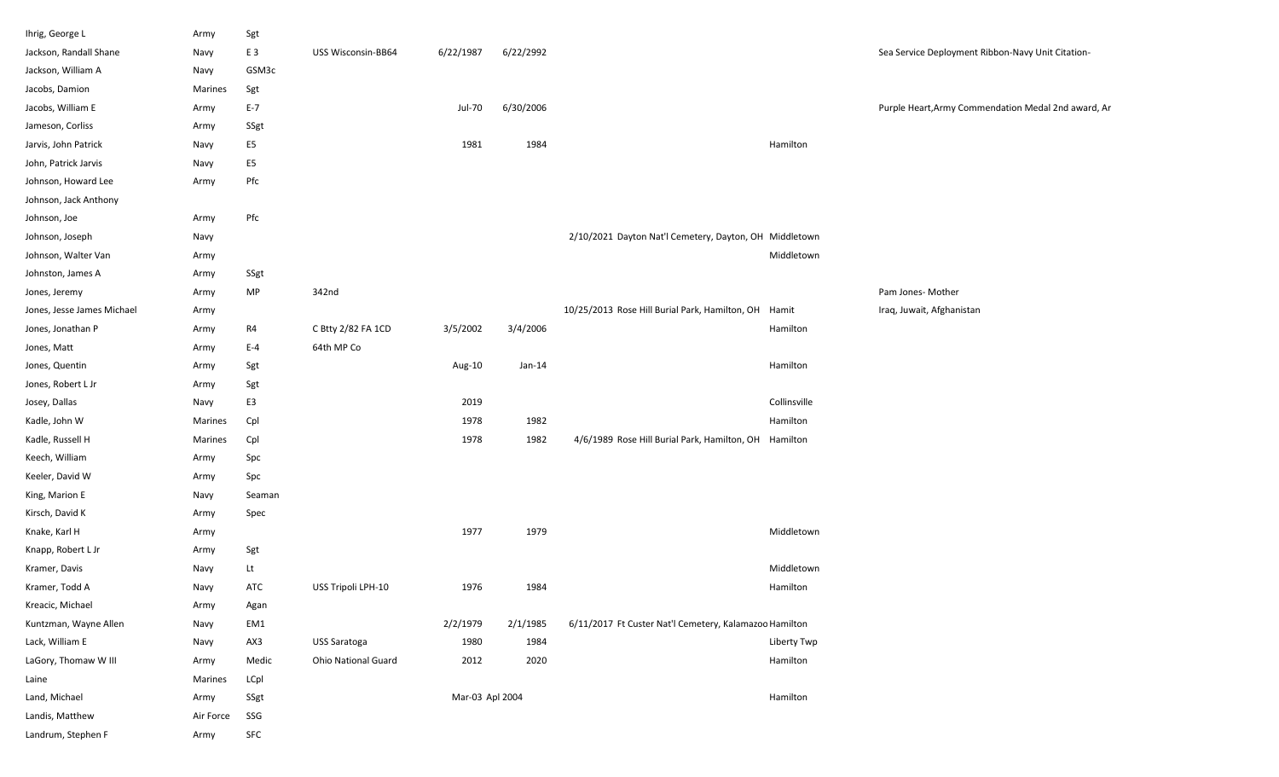| Ihrig, George L            | Army      | Sgt            |                     |                 |           |                                                        |              |                                                     |
|----------------------------|-----------|----------------|---------------------|-----------------|-----------|--------------------------------------------------------|--------------|-----------------------------------------------------|
| Jackson, Randall Shane     | Navy      | E <sub>3</sub> | USS Wisconsin-BB64  | 6/22/1987       | 6/22/2992 |                                                        |              | Sea Service Deployment Ribbon-Navy Unit Citation-   |
| Jackson, William A         | Navy      | GSM3c          |                     |                 |           |                                                        |              |                                                     |
| Jacobs, Damion             | Marines   | Sgt            |                     |                 |           |                                                        |              |                                                     |
| Jacobs, William E          | Army      | $E-7$          |                     | Jul-70          | 6/30/2006 |                                                        |              | Purple Heart, Army Commendation Medal 2nd award, Ar |
| Jameson, Corliss           | Army      | SSgt           |                     |                 |           |                                                        |              |                                                     |
| Jarvis, John Patrick       | Navy      | E5             |                     | 1981            | 1984      |                                                        | Hamilton     |                                                     |
| John, Patrick Jarvis       | Navy      | E <sub>5</sub> |                     |                 |           |                                                        |              |                                                     |
| Johnson, Howard Lee        | Army      | Pfc            |                     |                 |           |                                                        |              |                                                     |
| Johnson, Jack Anthony      |           |                |                     |                 |           |                                                        |              |                                                     |
| Johnson, Joe               | Army      | Pfc            |                     |                 |           |                                                        |              |                                                     |
| Johnson, Joseph            | Navy      |                |                     |                 |           | 2/10/2021 Dayton Nat'l Cemetery, Dayton, OH Middletown |              |                                                     |
| Johnson, Walter Van        | Army      |                |                     |                 |           |                                                        | Middletown   |                                                     |
| Johnston, James A          | Army      | SSgt           |                     |                 |           |                                                        |              |                                                     |
| Jones, Jeremy              | Army      | <b>MP</b>      | 342nd               |                 |           |                                                        |              | Pam Jones- Mother                                   |
| Jones, Jesse James Michael | Army      |                |                     |                 |           | 10/25/2013 Rose Hill Burial Park, Hamilton, OH Hamit   |              | Iraq, Juwait, Afghanistan                           |
| Jones, Jonathan P          | Army      | R4             | C Btty 2/82 FA 1CD  | 3/5/2002        | 3/4/2006  |                                                        | Hamilton     |                                                     |
| Jones, Matt                | Army      | $E-4$          | 64th MP Co          |                 |           |                                                        |              |                                                     |
| Jones, Quentin             | Army      | Sgt            |                     | Aug-10          | Jan-14    |                                                        | Hamilton     |                                                     |
| Jones, Robert L Jr         | Army      | Sgt            |                     |                 |           |                                                        |              |                                                     |
| Josey, Dallas              | Navy      | E3             |                     | 2019            |           |                                                        | Collinsville |                                                     |
| Kadle, John W              | Marines   | Cpl            |                     | 1978            | 1982      |                                                        | Hamilton     |                                                     |
| Kadle, Russell H           | Marines   | Cpl            |                     | 1978            | 1982      | 4/6/1989 Rose Hill Burial Park, Hamilton, OH Hamilton  |              |                                                     |
| Keech, William             | Army      | Spc            |                     |                 |           |                                                        |              |                                                     |
| Keeler, David W            | Army      | Spc            |                     |                 |           |                                                        |              |                                                     |
| King, Marion E             | Navy      | Seaman         |                     |                 |           |                                                        |              |                                                     |
| Kirsch, David K            | Army      | Spec           |                     |                 |           |                                                        |              |                                                     |
| Knake, Karl H              | Army      |                |                     | 1977            | 1979      |                                                        | Middletown   |                                                     |
| Knapp, Robert L Jr         | Army      | Sgt            |                     |                 |           |                                                        |              |                                                     |
| Kramer, Davis              | Navy      | Lt             |                     |                 |           |                                                        | Middletown   |                                                     |
| Kramer, Todd A             | Navy      | ATC            | USS Tripoli LPH-10  | 1976            | 1984      |                                                        | Hamilton     |                                                     |
| Kreacic, Michael           | Army      | Agan           |                     |                 |           |                                                        |              |                                                     |
| Kuntzman, Wayne Allen      | Navy      | EM1            |                     | 2/2/1979        | 2/1/1985  | 6/11/2017 Ft Custer Nat'l Cemetery, Kalamazoc Hamilton |              |                                                     |
| Lack, William E            | Navy      | AX3            | USS Saratoga        | 1980            | 1984      |                                                        | Liberty Twp  |                                                     |
| LaGory, Thomaw W III       | Army      | Medic          | Ohio National Guard | 2012            | 2020      |                                                        | Hamilton     |                                                     |
| Laine                      | Marines   | LCpl           |                     |                 |           |                                                        |              |                                                     |
| Land, Michael              | Army      | SSgt           |                     | Mar-03 Apl 2004 |           |                                                        | Hamilton     |                                                     |
| Landis, Matthew            | Air Force | SSG            |                     |                 |           |                                                        |              |                                                     |
| Landrum, Stephen F         | Army      | ${\sf SFC}$    |                     |                 |           |                                                        |              |                                                     |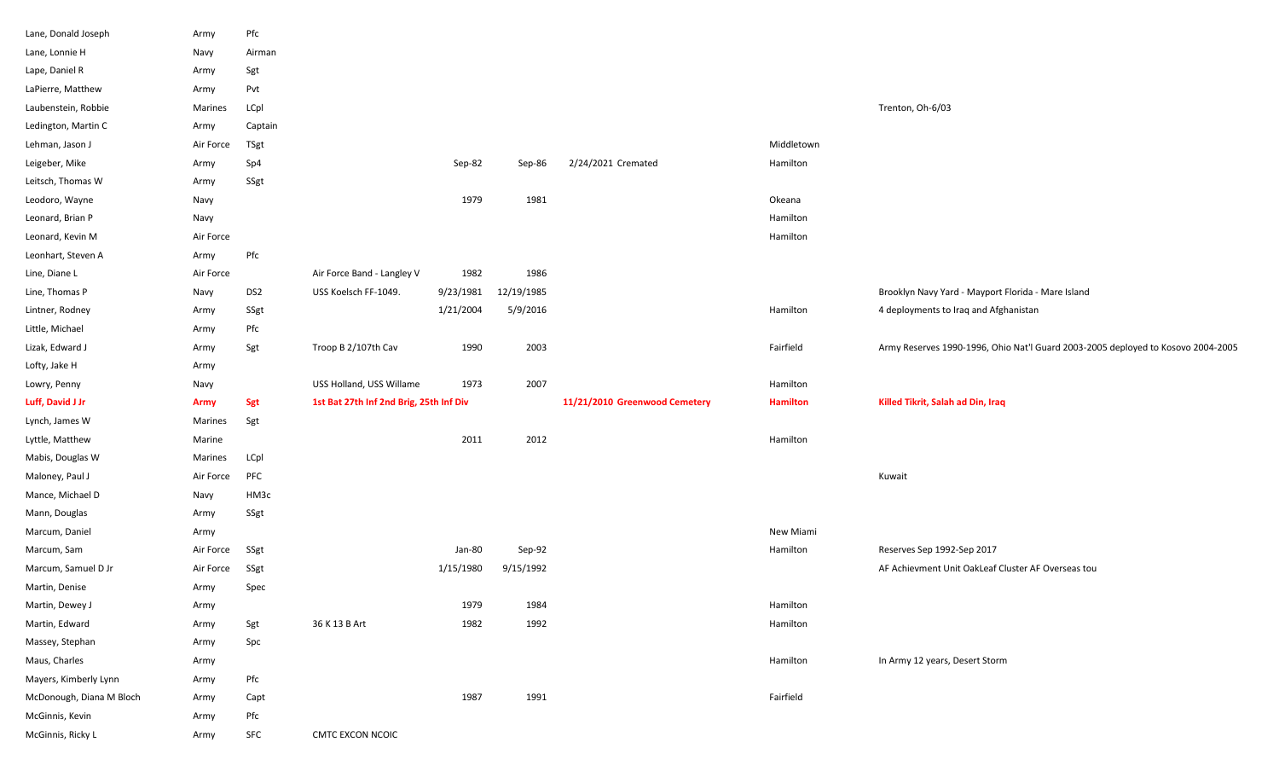| Lane, Donald Joseph      | Army        | Pfc             |                                         |           |            |                               |                 |                                                                                  |
|--------------------------|-------------|-----------------|-----------------------------------------|-----------|------------|-------------------------------|-----------------|----------------------------------------------------------------------------------|
| Lane, Lonnie H           | Navy        | Airman          |                                         |           |            |                               |                 |                                                                                  |
| Lape, Daniel R           | Army        | Sgt             |                                         |           |            |                               |                 |                                                                                  |
| LaPierre, Matthew        | Army        | Pvt             |                                         |           |            |                               |                 |                                                                                  |
| Laubenstein, Robbie      | Marines     | LCpl            |                                         |           |            |                               |                 | Trenton, Oh-6/03                                                                 |
| Ledington, Martin C      | Army        | Captain         |                                         |           |            |                               |                 |                                                                                  |
| Lehman, Jason J          | Air Force   | TSgt            |                                         |           |            |                               | Middletown      |                                                                                  |
| Leigeber, Mike           | Army        | Sp4             |                                         | Sep-82    | Sep-86     | 2/24/2021 Cremated            | Hamilton        |                                                                                  |
| Leitsch, Thomas W        | Army        | SSgt            |                                         |           |            |                               |                 |                                                                                  |
| Leodoro, Wayne           | Navy        |                 |                                         | 1979      | 1981       |                               | Okeana          |                                                                                  |
| Leonard, Brian P         | Navy        |                 |                                         |           |            |                               | Hamilton        |                                                                                  |
| Leonard, Kevin M         | Air Force   |                 |                                         |           |            |                               | Hamilton        |                                                                                  |
| Leonhart, Steven A       | Army        | Pfc             |                                         |           |            |                               |                 |                                                                                  |
| Line, Diane L            | Air Force   |                 | Air Force Band - Langley V              | 1982      | 1986       |                               |                 |                                                                                  |
| Line, Thomas P           | Navy        | DS <sub>2</sub> | USS Koelsch FF-1049.                    | 9/23/1981 | 12/19/1985 |                               |                 | Brooklyn Navy Yard - Mayport Florida - Mare Island                               |
| Lintner, Rodney          | Army        | SSgt            |                                         | 1/21/2004 | 5/9/2016   |                               | Hamilton        | 4 deployments to Iraq and Afghanistan                                            |
| Little, Michael          | Army        | Pfc             |                                         |           |            |                               |                 |                                                                                  |
| Lizak, Edward J          | Army        | Sgt             | Troop B 2/107th Cav                     | 1990      | 2003       |                               | Fairfield       | Army Reserves 1990-1996, Ohio Nat'l Guard 2003-2005 deployed to Kosovo 2004-2005 |
| Lofty, Jake H            | Army        |                 |                                         |           |            |                               |                 |                                                                                  |
|                          |             |                 |                                         |           |            |                               |                 |                                                                                  |
| Lowry, Penny             | Navy        |                 | USS Holland, USS Willame                | 1973      | 2007       |                               | Hamilton        |                                                                                  |
| Luff, David J Jr         | <b>Army</b> | Sgt             | 1st Bat 27th Inf 2nd Brig, 25th Inf Div |           |            | 11/21/2010 Greenwood Cemetery | <b>Hamilton</b> | Killed Tikrit, Salah ad Din, Iraq                                                |
| Lynch, James W           | Marines     | Sgt             |                                         |           |            |                               |                 |                                                                                  |
| Lyttle, Matthew          | Marine      |                 |                                         | 2011      | 2012       |                               | Hamilton        |                                                                                  |
| Mabis, Douglas W         | Marines     | LCpl            |                                         |           |            |                               |                 |                                                                                  |
| Maloney, Paul J          | Air Force   | PFC             |                                         |           |            |                               |                 | Kuwait                                                                           |
| Mance, Michael D         | Navy        | HM3c            |                                         |           |            |                               |                 |                                                                                  |
| Mann, Douglas            | Army        | SSgt            |                                         |           |            |                               |                 |                                                                                  |
| Marcum, Daniel           | Army        |                 |                                         |           |            |                               | New Miami       |                                                                                  |
| Marcum, Sam              | Air Force   | SSgt            |                                         | Jan-80    | Sep-92     |                               | Hamilton        | Reserves Sep 1992-Sep 2017                                                       |
| Marcum, Samuel D Jr      | Air Force   | SSgt            |                                         | 1/15/1980 | 9/15/1992  |                               |                 | AF Achievment Unit OakLeaf Cluster AF Overseas tou                               |
| Martin, Denise           | Army        | Spec            |                                         |           |            |                               |                 |                                                                                  |
| Martin, Dewey J          | Army        |                 |                                         | 1979      | 1984       |                               | Hamilton        |                                                                                  |
| Martin, Edward           | Army        | Sgt             | 36 K 13 B Art                           | 1982      | 1992       |                               | Hamilton        |                                                                                  |
| Massey, Stephan          | Army        | Spc             |                                         |           |            |                               |                 |                                                                                  |
| Maus, Charles            | Army        |                 |                                         |           |            |                               | Hamilton        | In Army 12 years, Desert Storm                                                   |
| Mayers, Kimberly Lynn    | Army        | $_{\rm Pfc}$    |                                         |           |            |                               |                 |                                                                                  |
| McDonough, Diana M Bloch | Army        | Capt            |                                         | 1987      | 1991       |                               | Fairfield       |                                                                                  |
| McGinnis, Kevin          | Army        | Pfc             |                                         |           |            |                               |                 |                                                                                  |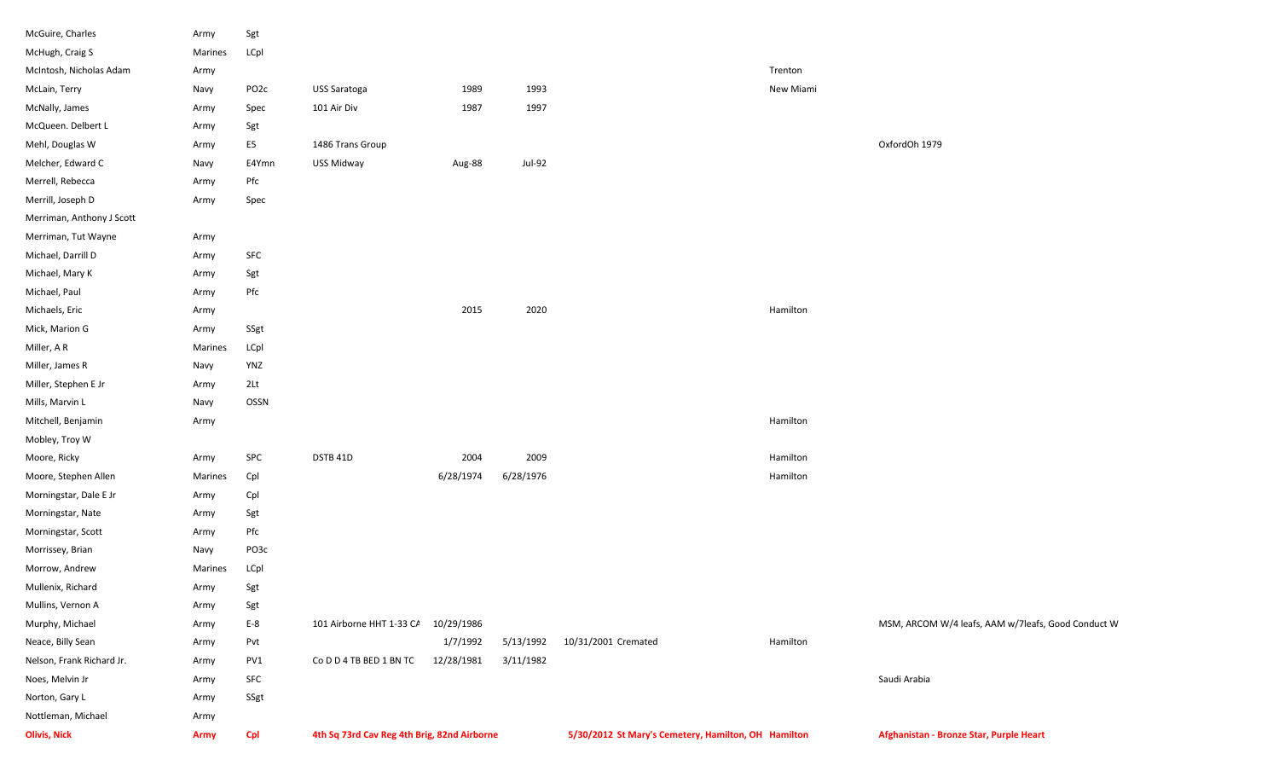| McGuire, Charles          | Army        | Sgt               |                                             |            |           |                                                     |           |                                                    |
|---------------------------|-------------|-------------------|---------------------------------------------|------------|-----------|-----------------------------------------------------|-----------|----------------------------------------------------|
| McHugh, Craig S           | Marines     | LCpl              |                                             |            |           |                                                     |           |                                                    |
| McIntosh, Nicholas Adam   | Army        |                   |                                             |            |           |                                                     | Trenton   |                                                    |
| McLain, Terry             | Navy        | PO <sub>2</sub> c | USS Saratoga                                | 1989       | 1993      |                                                     | New Miami |                                                    |
| McNally, James            | Army        | Spec              | 101 Air Div                                 | 1987       | 1997      |                                                     |           |                                                    |
| McQueen. Delbert L        | Army        | Sgt               |                                             |            |           |                                                     |           |                                                    |
| Mehl, Douglas W           | Army        | E <sub>5</sub>    | 1486 Trans Group                            |            |           |                                                     |           | OxfordOh 1979                                      |
| Melcher, Edward C         | Navy        | E4Ymn             | USS Midway                                  | Aug-88     | Jul-92    |                                                     |           |                                                    |
| Merrell, Rebecca          | Army        | Pfc               |                                             |            |           |                                                     |           |                                                    |
| Merrill, Joseph D         | Army        | Spec              |                                             |            |           |                                                     |           |                                                    |
| Merriman, Anthony J Scott |             |                   |                                             |            |           |                                                     |           |                                                    |
| Merriman, Tut Wayne       | Army        |                   |                                             |            |           |                                                     |           |                                                    |
| Michael, Darrill D        | Army        | SFC               |                                             |            |           |                                                     |           |                                                    |
| Michael, Mary K           | Army        | Sgt               |                                             |            |           |                                                     |           |                                                    |
| Michael, Paul             | Army        | Pfc               |                                             |            |           |                                                     |           |                                                    |
| Michaels, Eric            | Army        |                   |                                             | 2015       | 2020      |                                                     | Hamilton  |                                                    |
| Mick, Marion G            | Army        | SSgt              |                                             |            |           |                                                     |           |                                                    |
| Miller, A R               | Marines     | LCpl              |                                             |            |           |                                                     |           |                                                    |
| Miller, James R           | Navy        | YNZ               |                                             |            |           |                                                     |           |                                                    |
| Miller, Stephen E Jr      | Army        | 2 <sub>Lt</sub>   |                                             |            |           |                                                     |           |                                                    |
| Mills, Marvin L           | Navy        | OSSN              |                                             |            |           |                                                     |           |                                                    |
| Mitchell, Benjamin        | Army        |                   |                                             |            |           |                                                     | Hamilton  |                                                    |
| Mobley, Troy W            |             |                   |                                             |            |           |                                                     |           |                                                    |
| Moore, Ricky              | Army        | SPC               | DSTB 41D                                    | 2004       | 2009      |                                                     | Hamilton  |                                                    |
| Moore, Stephen Allen      | Marines     | Cpl               |                                             | 6/28/1974  | 6/28/1976 |                                                     | Hamilton  |                                                    |
| Morningstar, Dale E Jr    | Army        | Cpl               |                                             |            |           |                                                     |           |                                                    |
| Morningstar, Nate         | Army        | Sgt               |                                             |            |           |                                                     |           |                                                    |
| Morningstar, Scott        | Army        | Pfc               |                                             |            |           |                                                     |           |                                                    |
| Morrissey, Brian          | Navy        | PO3c              |                                             |            |           |                                                     |           |                                                    |
| Morrow, Andrew            | Marines     | LCpl              |                                             |            |           |                                                     |           |                                                    |
| Mullenix, Richard         | Army        | Sgt               |                                             |            |           |                                                     |           |                                                    |
| Mullins, Vernon A         | Army        | Sgt               |                                             |            |           |                                                     |           |                                                    |
| Murphy, Michael           | Army        | $E-8$             | 101 Airborne HHT 1-33 CA                    | 10/29/1986 |           |                                                     |           | MSM, ARCOM W/4 leafs, AAM w/7leafs, Good Conduct W |
| Neace, Billy Sean         | Army        | Pvt               |                                             | 1/7/1992   | 5/13/1992 | 10/31/2001 Cremated                                 | Hamilton  |                                                    |
| Nelson, Frank Richard Jr. | Army        | PV1               | Co D D 4 TB BED 1 BN TC                     | 12/28/1981 | 3/11/1982 |                                                     |           |                                                    |
| Noes, Melvin Jr           | Army        | SFC               |                                             |            |           |                                                     |           | Saudi Arabia                                       |
| Norton, Gary L            | Army        | SSgt              |                                             |            |           |                                                     |           |                                                    |
| Nottleman, Michael        | Army        |                   |                                             |            |           |                                                     |           |                                                    |
| <b>Olivis, Nick</b>       | <b>Army</b> | <b>Cpl</b>        | 4th Sq 73rd Cav Reg 4th Brig, 82nd Airborne |            |           | 5/30/2012 St Mary's Cemetery, Hamilton, OH Hamilton |           | Afghanistan - Bronze Star, Purple Heart            |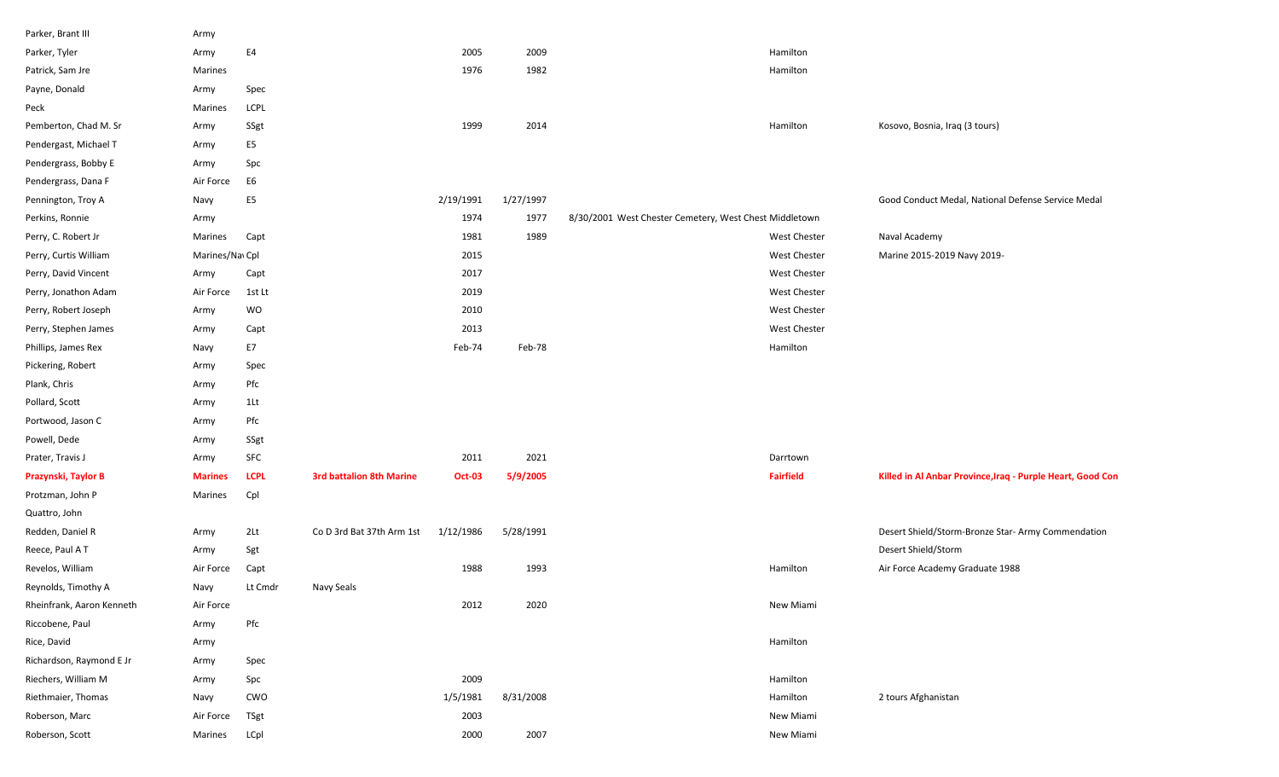| Parker, Brant III         | Army           |                |                                 |               |           |                                                        |                     |                                                            |
|---------------------------|----------------|----------------|---------------------------------|---------------|-----------|--------------------------------------------------------|---------------------|------------------------------------------------------------|
| Parker, Tyler             | Army           | E4             |                                 | 2005          | 2009      |                                                        | Hamilton            |                                                            |
| Patrick, Sam Jre          | Marines        |                |                                 | 1976          | 1982      |                                                        | Hamilton            |                                                            |
| Payne, Donald             | Army           | Spec           |                                 |               |           |                                                        |                     |                                                            |
| Peck                      | Marines        | LCPL           |                                 |               |           |                                                        |                     |                                                            |
| Pemberton, Chad M. Sr     | Army           | SSgt           |                                 | 1999          | 2014      |                                                        | Hamilton            | Kosovo, Bosnia, Iraq (3 tours)                             |
| Pendergast, Michael T     | Army           | E5             |                                 |               |           |                                                        |                     |                                                            |
| Pendergrass, Bobby E      | Army           | Spc            |                                 |               |           |                                                        |                     |                                                            |
| Pendergrass, Dana F       | Air Force      | E6             |                                 |               |           |                                                        |                     |                                                            |
| Pennington, Troy A        | Navy           | E <sub>5</sub> |                                 | 2/19/1991     | 1/27/1997 |                                                        |                     | Good Conduct Medal, National Defense Service Medal         |
| Perkins, Ronnie           | Army           |                |                                 | 1974          | 1977      | 8/30/2001 West Chester Cemetery, West Chest Middletown |                     |                                                            |
| Perry, C. Robert Jr       | Marines        | Capt           |                                 | 1981          | 1989      |                                                        | <b>West Chester</b> | Naval Academy                                              |
| Perry, Curtis William     | Marines/NavCpl |                |                                 | 2015          |           |                                                        | <b>West Chester</b> | Marine 2015-2019 Navy 2019-                                |
| Perry, David Vincent      | Army           | Capt           |                                 | 2017          |           |                                                        | <b>West Chester</b> |                                                            |
| Perry, Jonathon Adam      | Air Force      | 1st Lt         |                                 | 2019          |           |                                                        | West Chester        |                                                            |
| Perry, Robert Joseph      | Army           | WO             |                                 | 2010          |           |                                                        | <b>West Chester</b> |                                                            |
| Perry, Stephen James      | Army           | Capt           |                                 | 2013          |           |                                                        | <b>West Chester</b> |                                                            |
| Phillips, James Rex       | Navy           | E7             |                                 | Feb-74        | Feb-78    |                                                        | Hamilton            |                                                            |
| Pickering, Robert         | Army           | Spec           |                                 |               |           |                                                        |                     |                                                            |
| Plank, Chris              | Army           | Pfc            |                                 |               |           |                                                        |                     |                                                            |
| Pollard, Scott            | Army           | 1Lt            |                                 |               |           |                                                        |                     |                                                            |
| Portwood, Jason C         | Army           | Pfc            |                                 |               |           |                                                        |                     |                                                            |
| Powell, Dede              | Army           | SSgt           |                                 |               |           |                                                        |                     |                                                            |
| Prater, Travis J          | Army           | SFC            |                                 | 2011          | 2021      |                                                        | Darrtown            |                                                            |
| Prazynski, Taylor B       | <b>Marines</b> | <b>LCPL</b>    | <b>3rd battalion 8th Marine</b> | <b>Oct-03</b> | 5/9/2005  |                                                        | <b>Fairfield</b>    | Killed in Al Anbar Province, Iraq - Purple Heart, Good Con |
| Protzman, John P          | Marines        | Cpl            |                                 |               |           |                                                        |                     |                                                            |
| Quattro, John             |                |                |                                 |               |           |                                                        |                     |                                                            |
| Redden, Daniel R          | Army           | 2Lt            | Co D 3rd Bat 37th Arm 1st       | 1/12/1986     | 5/28/1991 |                                                        |                     | Desert Shield/Storm-Bronze Star- Army Commendation         |
| Reece, Paul AT            | Army           | Sgt            |                                 |               |           |                                                        |                     | Desert Shield/Storm                                        |
| Revelos, William          | Air Force      | Capt           |                                 | 1988          | 1993      |                                                        | Hamilton            | Air Force Academy Graduate 1988                            |
| Reynolds, Timothy A       | Navy           | Lt Cmdr        | Navy Seals                      |               |           |                                                        |                     |                                                            |
| Rheinfrank, Aaron Kenneth | Air Force      |                |                                 | 2012          | 2020      |                                                        | New Miami           |                                                            |
| Riccobene, Paul           | Army           | Pfc            |                                 |               |           |                                                        |                     |                                                            |
| Rice, David               | Army           |                |                                 |               |           |                                                        | Hamilton            |                                                            |
| Richardson, Raymond E Jr  | Army           | Spec           |                                 |               |           |                                                        |                     |                                                            |
| Riechers, William M       | Army           | Spc            |                                 | 2009          |           |                                                        | Hamilton            |                                                            |
| Riethmaier, Thomas        | Navy           | CWO            |                                 | 1/5/1981      | 8/31/2008 |                                                        | Hamilton            | 2 tours Afghanistan                                        |
| Roberson, Marc            | Air Force      | TSgt           |                                 | 2003          |           |                                                        | New Miami           |                                                            |
| Roberson, Scott           | Marines        | LCpl           |                                 | 2000          | 2007      |                                                        | New Miami           |                                                            |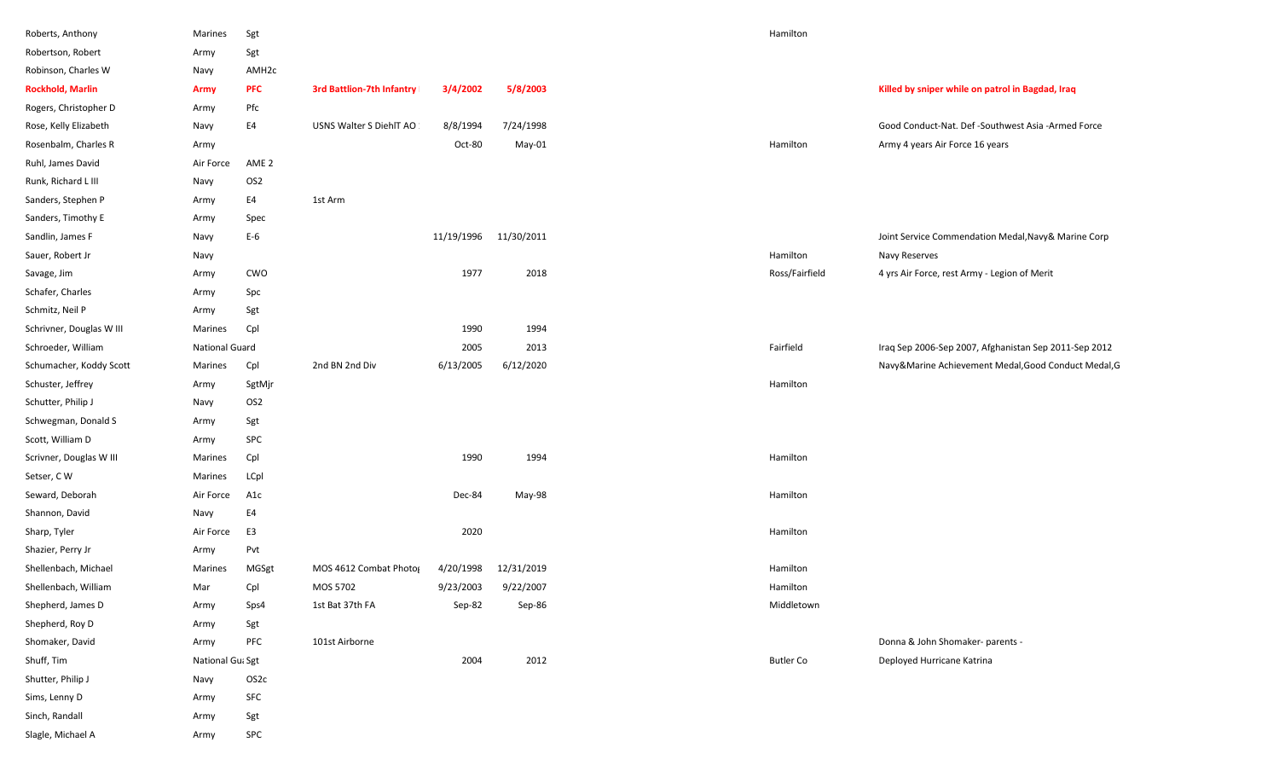| Roberts, Anthony         | Marines          | Sgt               |                                  |            |            | Hamilton         |                                                       |
|--------------------------|------------------|-------------------|----------------------------------|------------|------------|------------------|-------------------------------------------------------|
| Robertson, Robert        | Army             | Sgt               |                                  |            |            |                  |                                                       |
| Robinson, Charles W      | Navy             | AMH <sub>2c</sub> |                                  |            |            |                  |                                                       |
| <b>Rockhold, Marlin</b>  | <b>Army</b>      | <b>PFC</b>        | <b>3rd Battlion-7th Infantry</b> | 3/4/2002   | 5/8/2003   |                  | Killed by sniper while on patrol in Bagdad, Iraq      |
| Rogers, Christopher D    | Army             | Pfc               |                                  |            |            |                  |                                                       |
| Rose, Kelly Elizabeth    | Navy             | E4                | USNS Walter S DiehlT AO          | 8/8/1994   | 7/24/1998  |                  | Good Conduct-Nat. Def -Southwest Asia -Armed Force    |
| Rosenbalm, Charles R     | Army             |                   |                                  | Oct-80     | May-01     | Hamilton         | Army 4 years Air Force 16 years                       |
| Ruhl, James David        | Air Force        | AME <sub>2</sub>  |                                  |            |            |                  |                                                       |
| Runk, Richard L III      | Navy             | OS <sub>2</sub>   |                                  |            |            |                  |                                                       |
| Sanders, Stephen P       | Army             | E4                | 1st Arm                          |            |            |                  |                                                       |
| Sanders, Timothy E       | Army             | Spec              |                                  |            |            |                  |                                                       |
| Sandlin, James F         | Navy             | $E-6$             |                                  | 11/19/1996 | 11/30/2011 |                  | Joint Service Commendation Medal, Navy& Marine Corp   |
| Sauer, Robert Jr         | Navy             |                   |                                  |            |            | Hamilton         | Navy Reserves                                         |
| Savage, Jim              | Army             | CWO               |                                  | 1977       | 2018       | Ross/Fairfield   | 4 yrs Air Force, rest Army - Legion of Merit          |
| Schafer, Charles         | Army             | Spc               |                                  |            |            |                  |                                                       |
| Schmitz, Neil P          | Army             | Sgt               |                                  |            |            |                  |                                                       |
| Schrivner, Douglas W III | Marines          | Cpl               |                                  | 1990       | 1994       |                  |                                                       |
| Schroeder, William       | National Guard   |                   |                                  | 2005       | 2013       | Fairfield        | Iraq Sep 2006-Sep 2007, Afghanistan Sep 2011-Sep 2012 |
| Schumacher, Koddy Scott  | Marines          | Cpl               | 2nd BN 2nd Div                   | 6/13/2005  | 6/12/2020  |                  | Navy&Marine Achievement Medal, Good Conduct Medal, G  |
| Schuster, Jeffrey        | Army             | SgtMjr            |                                  |            |            | Hamilton         |                                                       |
| Schutter, Philip J       | Navy             | OS <sub>2</sub>   |                                  |            |            |                  |                                                       |
| Schwegman, Donald S      | Army             | Sgt               |                                  |            |            |                  |                                                       |
| Scott, William D         | Army             | <b>SPC</b>        |                                  |            |            |                  |                                                       |
| Scrivner, Douglas W III  | Marines          | Cpl               |                                  | 1990       | 1994       | Hamilton         |                                                       |
| Setser, CW               | Marines          | LCpl              |                                  |            |            |                  |                                                       |
| Seward, Deborah          | Air Force        | A1c               |                                  | Dec-84     | May-98     | Hamilton         |                                                       |
| Shannon, David           | Navy             | E4                |                                  |            |            |                  |                                                       |
| Sharp, Tyler             | Air Force        | E3                |                                  | 2020       |            | Hamilton         |                                                       |
| Shazier, Perry Jr        | Army             | Pvt               |                                  |            |            |                  |                                                       |
| Shellenbach, Michael     | Marines          | MGSgt             | MOS 4612 Combat Photo            | 4/20/1998  | 12/31/2019 | Hamilton         |                                                       |
| Shellenbach, William     | Mar              | Cpl               | MOS 5702                         | 9/23/2003  | 9/22/2007  | Hamilton         |                                                       |
| Shepherd, James D        | Army             | Sps4              | 1st Bat 37th FA                  | Sep-82     | Sep-86     | Middletown       |                                                       |
| Shepherd, Roy D          | Army             | Sgt               |                                  |            |            |                  |                                                       |
| Shomaker, David          | Army             | PFC               | 101st Airborne                   |            |            |                  | Donna & John Shomaker- parents -                      |
| Shuff, Tim               | National Gu: Sgt |                   |                                  | 2004       | 2012       | <b>Butler Co</b> | Deployed Hurricane Katrina                            |
| Shutter, Philip J        | Navy             | OS2c              |                                  |            |            |                  |                                                       |
| Sims, Lenny D            | Army             | SFC               |                                  |            |            |                  |                                                       |
| Sinch, Randall           | Army             | Sgt               |                                  |            |            |                  |                                                       |
| Slagle, Michael A        | Army             | SPC               |                                  |            |            |                  |                                                       |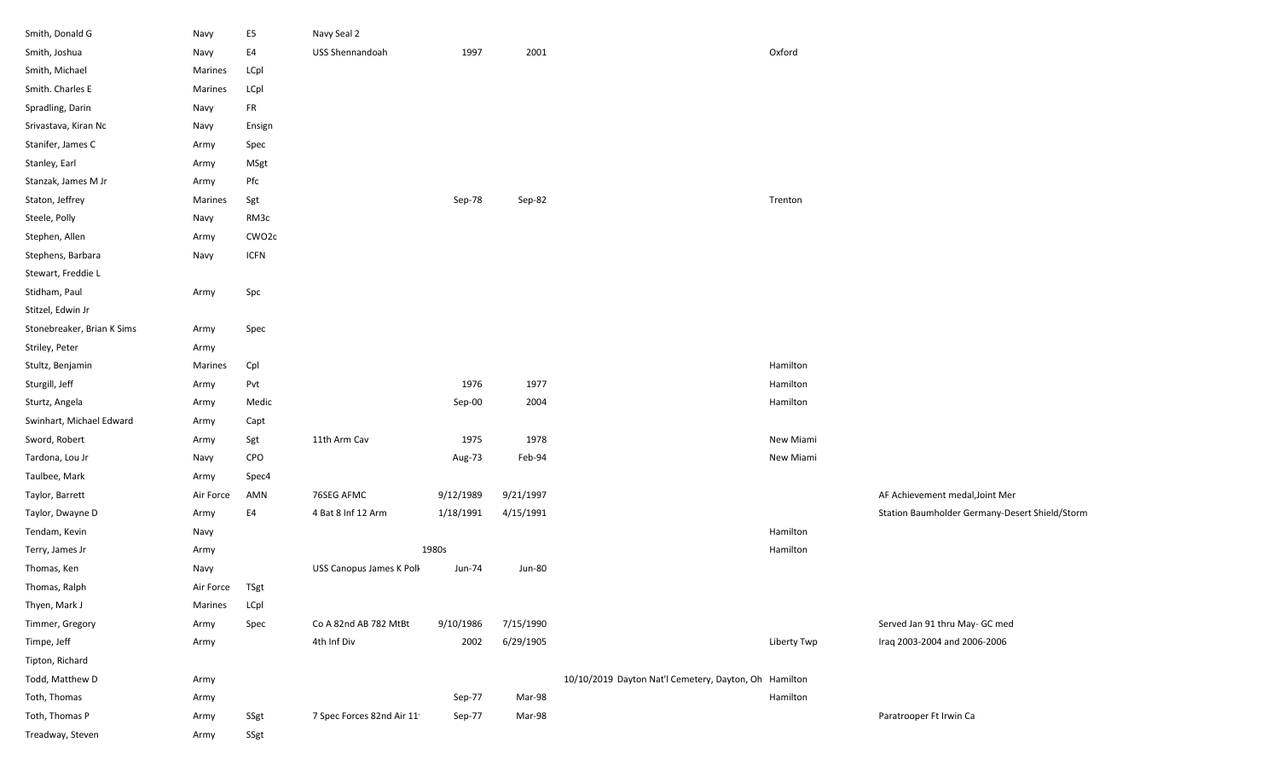| Smith, Donald G            | Navy      | E <sub>5</sub>     | Navy Seal 2                |           |               |                                                       |             |                                                |
|----------------------------|-----------|--------------------|----------------------------|-----------|---------------|-------------------------------------------------------|-------------|------------------------------------------------|
| Smith, Joshua              | Navy      | E4                 | USS Shennandoah            | 1997      | 2001          |                                                       | Oxford      |                                                |
| Smith, Michael             | Marines   | LCpl               |                            |           |               |                                                       |             |                                                |
| Smith. Charles E           | Marines   | LCpl               |                            |           |               |                                                       |             |                                                |
| Spradling, Darin           | Navy      | FR                 |                            |           |               |                                                       |             |                                                |
| Srivastava, Kiran Nc       | Navy      | Ensign             |                            |           |               |                                                       |             |                                                |
| Stanifer, James C          | Army      | Spec               |                            |           |               |                                                       |             |                                                |
| Stanley, Earl              | Army      | MSgt               |                            |           |               |                                                       |             |                                                |
| Stanzak, James M Jr        | Army      | Pfc                |                            |           |               |                                                       |             |                                                |
| Staton, Jeffrey            | Marines   | Sgt                |                            | Sep-78    | Sep-82        |                                                       | Trenton     |                                                |
| Steele, Polly              | Navy      | RM3c               |                            |           |               |                                                       |             |                                                |
| Stephen, Allen             | Army      | CWO <sub>2</sub> c |                            |           |               |                                                       |             |                                                |
| Stephens, Barbara          | Navy      | <b>ICFN</b>        |                            |           |               |                                                       |             |                                                |
| Stewart, Freddie L         |           |                    |                            |           |               |                                                       |             |                                                |
| Stidham, Paul              | Army      | Spc                |                            |           |               |                                                       |             |                                                |
| Stitzel, Edwin Jr          |           |                    |                            |           |               |                                                       |             |                                                |
| Stonebreaker, Brian K Sims | Army      | Spec               |                            |           |               |                                                       |             |                                                |
| Striley, Peter             | Army      |                    |                            |           |               |                                                       |             |                                                |
| Stultz, Benjamin           | Marines   | Cpl                |                            |           |               |                                                       | Hamilton    |                                                |
| Sturgill, Jeff             | Army      | Pvt                |                            | 1976      | 1977          |                                                       | Hamilton    |                                                |
| Sturtz, Angela             | Army      | Medic              |                            | Sep-00    | 2004          |                                                       | Hamilton    |                                                |
| Swinhart, Michael Edward   | Army      | Capt               |                            |           |               |                                                       |             |                                                |
| Sword, Robert              | Army      | Sgt                | 11th Arm Cav               | 1975      | 1978          |                                                       | New Miami   |                                                |
| Tardona, Lou Jr            | Navy      | CPO                |                            | Aug-73    | Feb-94        |                                                       | New Miami   |                                                |
| Taulbee, Mark              | Army      | Spec4              |                            |           |               |                                                       |             |                                                |
| Taylor, Barrett            | Air Force | AMN                | 76SEG AFMC                 | 9/12/1989 | 9/21/1997     |                                                       |             | AF Achievement medal, Joint Mer                |
| Taylor, Dwayne D           | Army      | E4                 | 4 Bat 8 Inf 12 Arm         | 1/18/1991 | 4/15/1991     |                                                       |             | Station Baumholder Germany-Desert Shield/Storm |
| Tendam, Kevin              | Navy      |                    |                            |           |               |                                                       | Hamilton    |                                                |
| Terry, James Jr            | Army      |                    |                            | 1980s     |               |                                                       | Hamilton    |                                                |
| Thomas, Ken                | Navy      |                    | USS Canopus James K Poll   | Jun-74    | <b>Jun-80</b> |                                                       |             |                                                |
| Thomas, Ralph              | Air Force | TSgt               |                            |           |               |                                                       |             |                                                |
| Thyen, Mark J              | Marines   | LCpl               |                            |           |               |                                                       |             |                                                |
| Timmer, Gregory            | Army      | Spec               | Co A 82nd AB 782 MtBt      | 9/10/1986 | 7/15/1990     |                                                       |             | Served Jan 91 thru May- GC med                 |
| Timpe, Jeff                | Army      |                    | 4th Inf Div                | 2002      | 6/29/1905     |                                                       | Liberty Twp | Iraq 2003-2004 and 2006-2006                   |
| Tipton, Richard            |           |                    |                            |           |               |                                                       |             |                                                |
| Todd, Matthew D            | Army      |                    |                            |           |               | 10/10/2019 Dayton Nat'l Cemetery, Dayton, Oh Hamilton |             |                                                |
| Toth, Thomas               | Army      |                    |                            | Sep-77    | Mar-98        |                                                       | Hamilton    |                                                |
| Toth, Thomas P             | Army      | SSgt               | 7 Spec Forces 82nd Air 111 | Sep-77    | Mar-98        |                                                       |             | Paratrooper Ft Irwin Ca                        |
| Treadway, Steven           | Army      | SSgt               |                            |           |               |                                                       |             |                                                |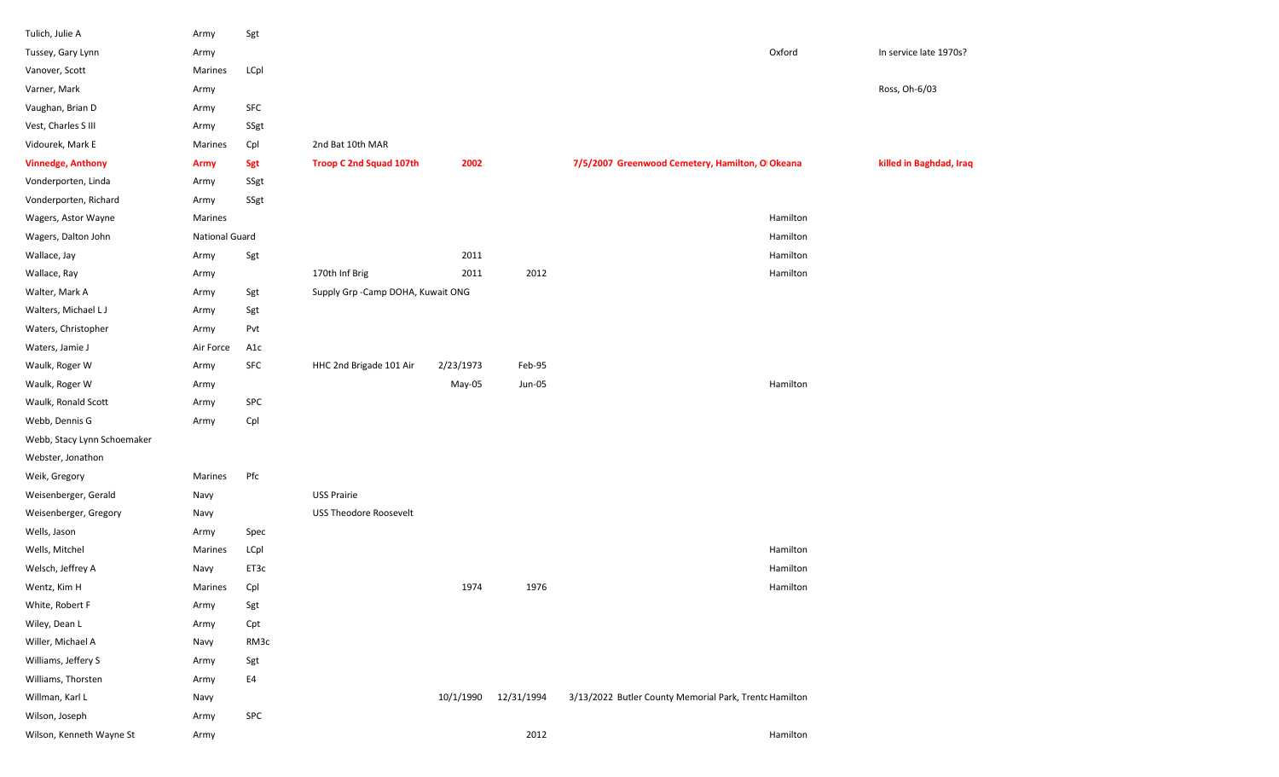| Tulich, Julie A             | Army                  | Sgt  |                                    |           |            |                                                        |          |                         |
|-----------------------------|-----------------------|------|------------------------------------|-----------|------------|--------------------------------------------------------|----------|-------------------------|
| Tussey, Gary Lynn           | Army                  |      |                                    |           |            |                                                        | Oxford   | In service late 1970s?  |
| Vanover, Scott              | Marines               | LCpl |                                    |           |            |                                                        |          |                         |
| Varner, Mark                | Army                  |      |                                    |           |            |                                                        |          | Ross, Oh-6/03           |
| Vaughan, Brian D            | Army                  | SFC  |                                    |           |            |                                                        |          |                         |
| Vest, Charles S III         | Army                  | SSgt |                                    |           |            |                                                        |          |                         |
| Vidourek, Mark E            | Marines               | Cpl  | 2nd Bat 10th MAR                   |           |            |                                                        |          |                         |
| <b>Vinnedge, Anthony</b>    | <b>Army</b>           | Sgt  | <b>Troop C 2nd Squad 107th</b>     | 2002      |            | 7/5/2007 Greenwood Cemetery, Hamilton, O Okeana        |          | killed in Baghdad, Iraq |
| Vonderporten, Linda         | Army                  | SSgt |                                    |           |            |                                                        |          |                         |
| Vonderporten, Richard       | Army                  | SSgt |                                    |           |            |                                                        |          |                         |
| Wagers, Astor Wayne         | Marines               |      |                                    |           |            |                                                        | Hamilton |                         |
| Wagers, Dalton John         | <b>National Guard</b> |      |                                    |           |            |                                                        | Hamilton |                         |
| Wallace, Jay                | Army                  | Sgt  |                                    | 2011      |            |                                                        | Hamilton |                         |
| Wallace, Ray                | Army                  |      | 170th Inf Brig                     | 2011      | 2012       |                                                        | Hamilton |                         |
| Walter, Mark A              | Army                  | Sgt  | Supply Grp - Camp DOHA, Kuwait ONG |           |            |                                                        |          |                         |
| Walters, Michael LJ         | Army                  | Sgt  |                                    |           |            |                                                        |          |                         |
| Waters, Christopher         | Army                  | Pvt  |                                    |           |            |                                                        |          |                         |
| Waters, Jamie J             | Air Force             | A1c  |                                    |           |            |                                                        |          |                         |
| Waulk, Roger W              | Army                  | SFC  | HHC 2nd Brigade 101 Air            | 2/23/1973 | Feb-95     |                                                        |          |                         |
| Waulk, Roger W              | Army                  |      |                                    | May-05    | Jun-05     |                                                        | Hamilton |                         |
| Waulk, Ronald Scott         | Army                  | SPC  |                                    |           |            |                                                        |          |                         |
| Webb, Dennis G              | Army                  | Cpl  |                                    |           |            |                                                        |          |                         |
| Webb, Stacy Lynn Schoemaker |                       |      |                                    |           |            |                                                        |          |                         |
| Webster, Jonathon           |                       |      |                                    |           |            |                                                        |          |                         |
| Weik, Gregory               | Marines               | Pfc  |                                    |           |            |                                                        |          |                         |
| Weisenberger, Gerald        | Navy                  |      | <b>USS Prairie</b>                 |           |            |                                                        |          |                         |
| Weisenberger, Gregory       | Navy                  |      | <b>USS Theodore Roosevelt</b>      |           |            |                                                        |          |                         |
| Wells, Jason                | Army                  | Spec |                                    |           |            |                                                        |          |                         |
| Wells, Mitchel              | Marines               | LCpl |                                    |           |            |                                                        | Hamilton |                         |
| Welsch, Jeffrey A           | Navy                  | ET3c |                                    |           |            |                                                        | Hamilton |                         |
| Wentz, Kim H                | Marines               | Cpl  |                                    | 1974      | 1976       |                                                        | Hamilton |                         |
| White, Robert F             | Army                  | Sgt  |                                    |           |            |                                                        |          |                         |
| Wiley, Dean L               | Army                  | Cpt  |                                    |           |            |                                                        |          |                         |
| Willer, Michael A           | Navy                  | RM3c |                                    |           |            |                                                        |          |                         |
| Williams, Jeffery S         | Army                  | Sgt  |                                    |           |            |                                                        |          |                         |
| Williams, Thorsten          | Army                  | E4   |                                    |           |            |                                                        |          |                         |
| Willman, Karl L             | Navy                  |      |                                    | 10/1/1990 | 12/31/1994 | 3/13/2022 Butler County Memorial Park, Trentc Hamilton |          |                         |
| Wilson, Joseph              | Army                  | SPC  |                                    |           |            |                                                        |          |                         |
| Wilson, Kenneth Wayne St    | Army                  |      |                                    |           | 2012       |                                                        | Hamilton |                         |